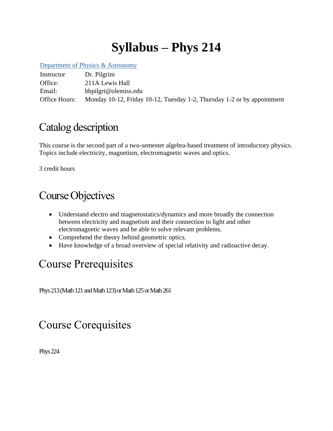# **Syllabus – Phys 214**

[Department of Physics & Astronomy](http://www.olemiss.edu/depts/physics_and_astronomy/)

Instructor Dr. Pilgrim Office: 211A Lewis Hall Email: bbpilgri@olemiss.edu Office Hours: Monday 10-12, Friday 10-12, Tuesday 1-2, Thursday 1-2 or by appointment

## Catalog description

This course is the second part of a two-semester algebra-based treatment of introductory physics. Topics include electricity, magnetism, electromagnetic waves and optics.

3 credit hours

# Course Objectives

- Understand electro and magnetostatics/dynamics and more broadly the connection between electricity and magnetism and their connection to light and other electromagnetic waves and be able to solve relevant problems.
- Comprehend the theory behind geometric optics.
- Have knowledge of a broad overview of special relativity and radioactive decay.

# Course Prerequisites

Phys 213 (Math 121 and Math 123) or Math 125 or Math 261

# Course Corequisites

Phys 224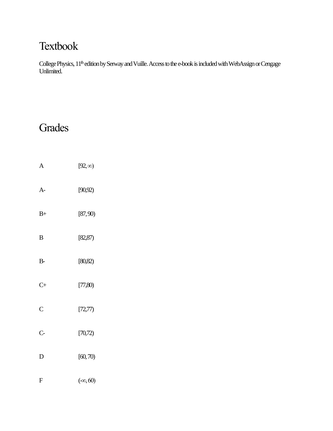# Textbook

College Physics, 11<sup>th</sup> edition by Serway and Vuille. Access to the e-book is included with WebAssign or Cengage Unlimited.

#### **Grades**

A  $[92, \infty)$ A- [90,92) B+ [87, 90) B [82,87) B- [80,82) C+ [77,80) C [72,77) C- [70,72) D [60, 70) F  $(-\infty, 60)$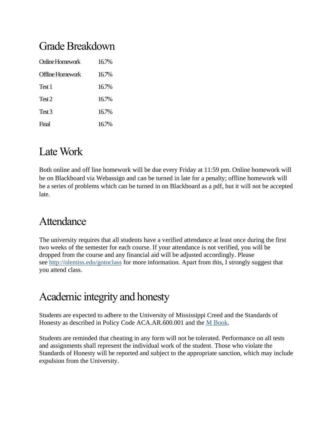#### Grade Breakdown

| Online Homework   | 16.7%    |
|-------------------|----------|
| Offline Homework  | 16.7%    |
| Test 1            | $16.7\%$ |
| Test <sub>2</sub> | $16.7\%$ |
| Test <sub>3</sub> | 16.7%    |
| Final             | $16.7\%$ |

#### Late Work

Both online and off line homework will be due every Friday at 11:59 pm. Online homework will be on Blackboard via Webassign and can be turned in late for a penalty; offline homework will be a series of problems which can be turned in on Blackboard as a pdf, but it will not be accepted late.

#### Attendance

The university requires that all students have a verified attendance at least once during the first two weeks of the semester for each course. If your attendance is not verified, you will be dropped from the course and any financial aid will be adjusted accordingly. Please see <http://olemiss.edu/gotoclass> for more information. Apart from this, I strongly suggest that you attend class.

## Academic integrity and honesty

Students are expected to adhere to the University of Mississippi Creed and the Standards of Honesty as described in Policy Code ACA.AR.600.001 and the [M Book.](http://conflictresolution.olemiss.edu/m-book/)

Students are reminded that cheating in any form will not be tolerated. Performance on all tests and assignments shall represent the individual work of the student. Those who violate the Standards of Honesty will be reported and subject to the appropriate sanction, which may include expulsion from the University.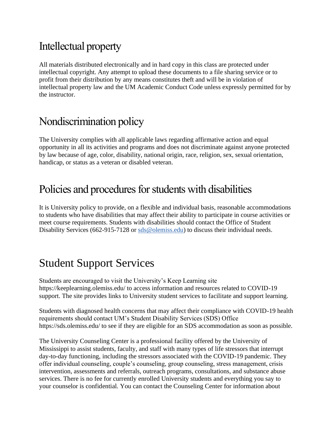# Intellectual property

All materials distributed electronically and in hard copy in this class are protected under intellectual copyright. Any attempt to upload these documents to a file sharing service or to profit from their distribution by any means constitutes theft and will be in violation of intellectual property law and the UM Academic Conduct Code unless expressly permitted for by the instructor.

### Nondiscrimination policy

The University complies with all applicable laws regarding affirmative action and equal opportunity in all its activities and programs and does not discriminate against anyone protected by law because of age, color, disability, national origin, race, religion, sex, sexual orientation, handicap, or status as a veteran or disabled veteran.

## Policies and procedures for students with disabilities

It is University policy to provide, on a flexible and individual basis, reasonable accommodations to students who have disabilities that may affect their ability to participate in course activities or meet course requirements. Students with disabilities should contact the Office of Student Disability Services (662-915-7128 or [sds@olemiss.edu\)](mailto:sds@olemiss.edu) to discuss their individual needs.

## Student Support Services

Students are encouraged to visit the University's Keep Learning site https://keeplearning.olemiss.edu/ to access information and resources related to COVID-19 support. The site provides links to University student services to facilitate and support learning.

Students with diagnosed health concerns that may affect their compliance with COVID-19 health requirements should contact UM's Student Disability Services (SDS) Office https://sds.olemiss.edu/ to see if they are eligible for an SDS accommodation as soon as possible.

The University Counseling Center is a professional facility offered by the University of Mississippi to assist students, faculty, and staff with many types of life stressors that interrupt day-to-day functioning, including the stressors associated with the COVID-19 pandemic. They offer individual counseling, couple's counseling, group counseling, stress management, crisis intervention, assessments and referrals, outreach programs, consultations, and substance abuse services. There is no fee for currently enrolled University students and everything you say to your counselor is confidential. You can contact the Counseling Center for information about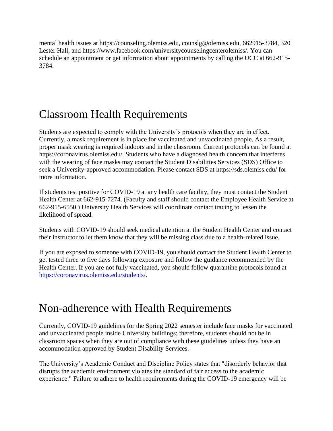mental health issues at https://counseling.olemiss.edu, counslg@olemiss.edu, 662915-3784, 320 Lester Hall, and https://www.facebook.com/universitycounselingcenterolemiss/. You can schedule an appointment or get information about appointments by calling the UCC at 662-915- 3784.

## Classroom Health Requirements

Students are expected to comply with the University's protocols when they are in effect. Currently, a mask requirement is in place for vaccinated and unvaccinated people. As a result, proper mask wearing is required indoors and in the classroom. Current protocols can be found at https://coronavirus.olemiss.edu/. Students who have a diagnosed health concern that interferes with the wearing of face masks may contact the Student Disabilities Services (SDS) Office to seek a University-approved accommodation. Please contact SDS at https://sds.olemiss.edu/ for more information.

If students test positive for COVID-19 at any health care facility, they must contact the Student Health Center at 662-915-7274. (Faculty and staff should contact the Employee Health Service at 662-915-6550.) University Health Services will coordinate contact tracing to lessen the likelihood of spread.

Students with COVID-19 should seek medical attention at the Student Health Center and contact their instructor to let them know that they will be missing class due to a health-related issue.

If you are exposed to someone with COVID-19, you should contact the Student Health Center to get tested three to five days following exposure and follow the guidance recommended by the Health Center. If you are not fully vaccinated, you should follow quarantine protocols found at [https://coronavirus.olemiss.edu/students/.](https://coronavirus.olemiss.edu/students/)

#### Non-adherence with Health Requirements

Currently, COVID-19 guidelines for the Spring 2022 semester include face masks for vaccinated and unvaccinated people inside University buildings; therefore, students should not be in classroom spaces when they are out of compliance with these guidelines unless they have an accommodation approved by Student Disability Services.

The University's Academic Conduct and Discipline Policy states that "disorderly behavior that disrupts the academic environment violates the standard of fair access to the academic experience." Failure to adhere to health requirements during the COVID-19 emergency will be